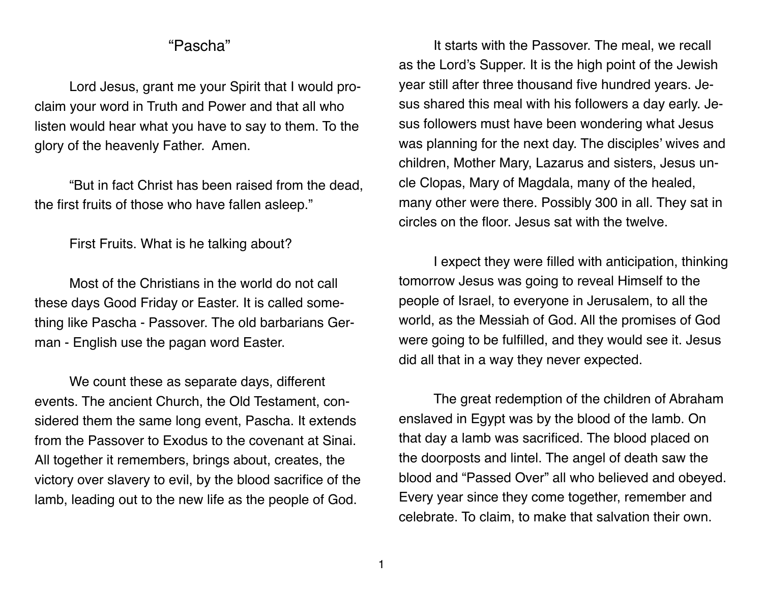## "Pascha"

Lord Jesus, grant me your Spirit that I would proclaim your word in Truth and Power and that all who listen would hear what you have to say to them. To the glory of the heavenly Father. Amen.

"But in fact Christ has been raised from the dead, the first fruits of those who have fallen asleep."

First Fruits. What is he talking about?

Most of the Christians in the world do not call these days Good Friday or Easter. It is called something like Pascha - Passover. The old barbarians German - English use the pagan word Easter.

We count these as separate days, different events. The ancient Church, the Old Testament, considered them the same long event, Pascha. It extends from the Passover to Exodus to the covenant at Sinai. All together it remembers, brings about, creates, the victory over slavery to evil, by the blood sacrifice of the lamb, leading out to the new life as the people of God.

It starts with the Passover. The meal, we recall as the Lord's Supper. It is the high point of the Jewish year still after three thousand five hundred years. Jesus shared this meal with his followers a day early. Jesus followers must have been wondering what Jesus was planning for the next day. The disciples' wives and children, Mother Mary, Lazarus and sisters, Jesus uncle Clopas, Mary of Magdala, many of the healed, many other were there. Possibly 300 in all. They sat in circles on the floor. Jesus sat with the twelve.

I expect they were filled with anticipation, thinking tomorrow Jesus was going to reveal Himself to the people of Israel, to everyone in Jerusalem, to all the world, as the Messiah of God. All the promises of God were going to be fulfilled, and they would see it. Jesus did all that in a way they never expected.

The great redemption of the children of Abraham enslaved in Egypt was by the blood of the lamb. On that day a lamb was sacrificed. The blood placed on the doorposts and lintel. The angel of death saw the blood and "Passed Over" all who believed and obeyed. Every year since they come together, remember and celebrate. To claim, to make that salvation their own.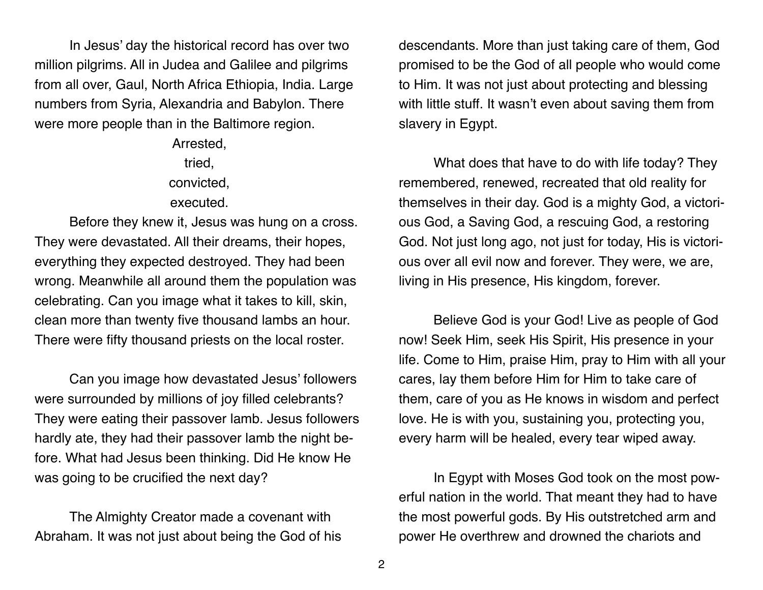In Jesus' day the historical record has over two million pilgrims. All in Judea and Galilee and pilgrims from all over, Gaul, North Africa Ethiopia, India. Large numbers from Syria, Alexandria and Babylon. There were more people than in the Baltimore region.

> Arrested, tried, convicted, executed.

 Before they knew it, Jesus was hung on a cross. They were devastated. All their dreams, their hopes, everything they expected destroyed. They had been wrong. Meanwhile all around them the population was celebrating. Can you image what it takes to kill, skin, clean more than twenty five thousand lambs an hour. There were fifty thousand priests on the local roster.

Can you image how devastated Jesus' followers were surrounded by millions of joy filled celebrants? They were eating their passover lamb. Jesus followers hardly ate, they had their passover lamb the night before. What had Jesus been thinking. Did He know He was going to be crucified the next day?

The Almighty Creator made a covenant with Abraham. It was not just about being the God of his descendants. More than just taking care of them, God promised to be the God of all people who would come to Him. It was not just about protecting and blessing with little stuff. It wasn't even about saving them from slavery in Egypt.

What does that have to do with life today? They remembered, renewed, recreated that old reality for themselves in their day. God is a mighty God, a victorious God, a Saving God, a rescuing God, a restoring God. Not just long ago, not just for today, His is victorious over all evil now and forever. They were, we are, living in His presence, His kingdom, forever.

Believe God is your God! Live as people of God now! Seek Him, seek His Spirit, His presence in your life. Come to Him, praise Him, pray to Him with all your cares, lay them before Him for Him to take care of them, care of you as He knows in wisdom and perfect love. He is with you, sustaining you, protecting you, every harm will be healed, every tear wiped away.

In Egypt with Moses God took on the most powerful nation in the world. That meant they had to have the most powerful gods. By His outstretched arm and power He overthrew and drowned the chariots and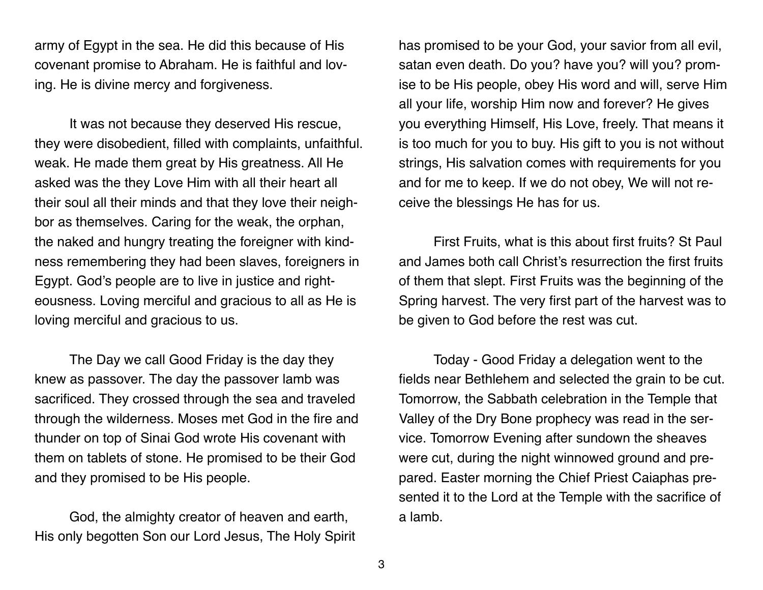army of Egypt in the sea. He did this because of His covenant promise to Abraham. He is faithful and loving. He is divine mercy and forgiveness.

It was not because they deserved His rescue, they were disobedient, filled with complaints, unfaithful. weak. He made them great by His greatness. All He asked was the they Love Him with all their heart all their soul all their minds and that they love their neighbor as themselves. Caring for the weak, the orphan, the naked and hungry treating the foreigner with kindness remembering they had been slaves, foreigners in Egypt. God's people are to live in justice and righteousness. Loving merciful and gracious to all as He is loving merciful and gracious to us.

The Day we call Good Friday is the day they knew as passover. The day the passover lamb was sacrificed. They crossed through the sea and traveled through the wilderness. Moses met God in the fire and thunder on top of Sinai God wrote His covenant with them on tablets of stone. He promised to be their God and they promised to be His people.

God, the almighty creator of heaven and earth, His only begotten Son our Lord Jesus, The Holy Spirit has promised to be your God, your savior from all evil, satan even death. Do you? have you? will you? promise to be His people, obey His word and will, serve Him all your life, worship Him now and forever? He gives you everything Himself, His Love, freely. That means it is too much for you to buy. His gift to you is not without strings, His salvation comes with requirements for you and for me to keep. If we do not obey, We will not receive the blessings He has for us.

First Fruits, what is this about first fruits? St Paul and James both call Christ's resurrection the first fruits of them that slept. First Fruits was the beginning of the Spring harvest. The very first part of the harvest was to be given to God before the rest was cut.

Today - Good Friday a delegation went to the fields near Bethlehem and selected the grain to be cut. Tomorrow, the Sabbath celebration in the Temple that Valley of the Dry Bone prophecy was read in the service. Tomorrow Evening after sundown the sheaves were cut, during the night winnowed ground and prepared. Easter morning the Chief Priest Caiaphas presented it to the Lord at the Temple with the sacrifice of a lamb.